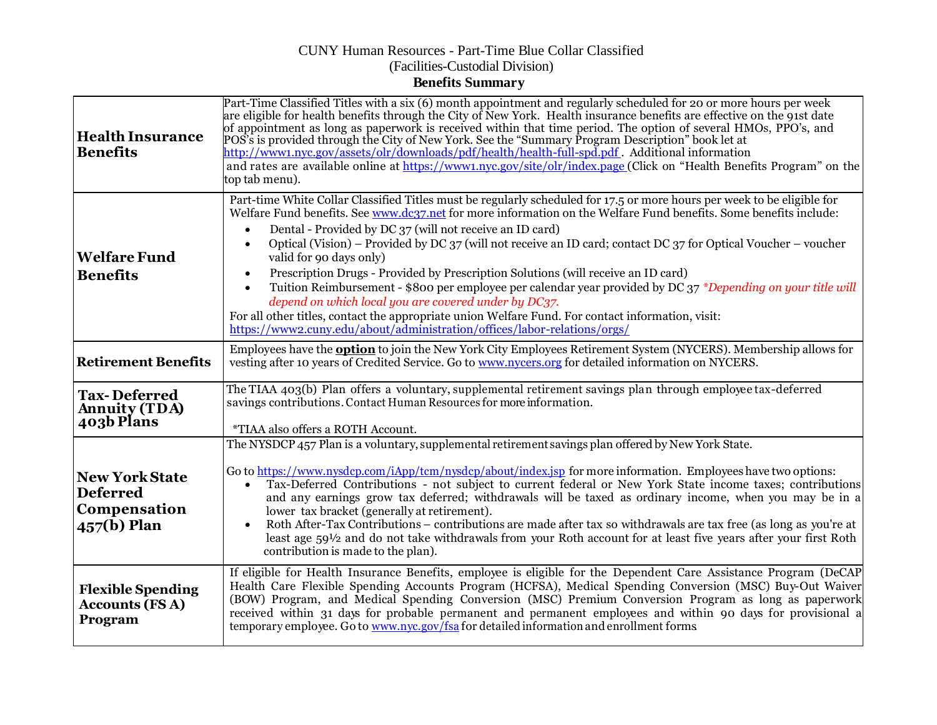## CUNY Human Resources - Part-Time Blue Collar Classified (Facilities-Custodial Division) **Benefits Summary**

| <b>Health Insurance</b><br><b>Benefits</b>                                | Part-Time Classified Titles with a six (6) month appointment and regularly scheduled for 20 or more hours per week<br>are eligible for health benefits through the City of New York. Health insurance benefits are effective on the 91st date<br>of appointment as long as paperwork is received within that time period. The option of several HMOs, PPO's, and<br>POS's is provided through the City of New York. See the "Summary Program Description" book let at<br>http://www1.nyc.gov/assets/olr/downloads/pdf/health/health-full-spd.pdf. Additional information<br>and rates are available online at https://www1.nyc.gov/site/olr/index.page (Click on "Health Benefits Program" on the<br>top tab menu).                                                                                                                                                                                                                                     |
|---------------------------------------------------------------------------|---------------------------------------------------------------------------------------------------------------------------------------------------------------------------------------------------------------------------------------------------------------------------------------------------------------------------------------------------------------------------------------------------------------------------------------------------------------------------------------------------------------------------------------------------------------------------------------------------------------------------------------------------------------------------------------------------------------------------------------------------------------------------------------------------------------------------------------------------------------------------------------------------------------------------------------------------------|
| <b>Welfare Fund</b><br><b>Benefits</b>                                    | Part-time White Collar Classified Titles must be regularly scheduled for 17.5 or more hours per week to be eligible for<br>Welfare Fund benefits. See www.dc37.net for more information on the Welfare Fund benefits. Some benefits include:<br>Dental - Provided by DC 37 (will not receive an ID card)<br>$\bullet$<br>Optical (Vision) – Provided by DC 37 (will not receive an ID card; contact DC 37 for Optical Voucher – voucher<br>$\bullet$<br>valid for 90 days only)<br>Prescription Drugs - Provided by Prescription Solutions (will receive an ID card)<br>$\bullet$<br>Tuition Reimbursement - \$800 per employee per calendar year provided by DC 37 *Depending on your title will<br>$\bullet$<br>depend on which local you are covered under by DC37.<br>For all other titles, contact the appropriate union Welfare Fund. For contact information, visit:<br>https://www2.cuny.edu/about/administration/offices/labor-relations/orgs/ |
| <b>Retirement Benefits</b>                                                | Employees have the <b>option</b> to join the New York City Employees Retirement System (NYCERS). Membership allows for<br>vesting after 10 years of Credited Service. Go to www.nycers.org for detailed information on NYCERS.                                                                                                                                                                                                                                                                                                                                                                                                                                                                                                                                                                                                                                                                                                                          |
| <b>Tax-Deferred</b><br><b>Annuity (TDA)</b><br>403b Plans                 | The TIAA 403(b) Plan offers a voluntary, supplemental retirement savings plan through employee tax-deferred<br>savings contributions. Contact Human Resources for more information.<br>*TIAA also offers a ROTH Account.                                                                                                                                                                                                                                                                                                                                                                                                                                                                                                                                                                                                                                                                                                                                |
| <b>New York State</b><br><b>Deferred</b><br>Compensation<br>$457(b)$ Plan | The NYSDCP 457 Plan is a voluntary, supplemental retirement savings plan offered by New York State.<br>Go to https://www.nysdcp.com/iApp/tcm/nysdcp/about/index.jsp for more information. Employees have two options:<br>Tax-Deferred Contributions - not subject to current federal or New York State income taxes; contributions<br>$\bullet$<br>and any earnings grow tax deferred; withdrawals will be taxed as ordinary income, when you may be in a<br>lower tax bracket (generally at retirement).<br>Roth After-Tax Contributions - contributions are made after tax so withdrawals are tax free (as long as you're at<br>$\bullet$<br>least age 591/2 and do not take withdrawals from your Roth account for at least five years after your first Roth<br>contribution is made to the plan).                                                                                                                                                   |
| <b>Flexible Spending</b><br><b>Accounts (FSA)</b><br>Program              | If eligible for Health Insurance Benefits, employee is eligible for the Dependent Care Assistance Program (DeCAP<br>Health Care Flexible Spending Accounts Program (HCFSA), Medical Spending Conversion (MSC) Buy-Out Waiver<br>(BOW) Program, and Medical Spending Conversion (MSC) Premium Conversion Program as long as paperwork<br>received within 31 days for probable permanent and permanent employees and within 90 days for provisional a<br>temporary employee. Go to www.nyc.gov/fsa for detailed information and enrollment forms                                                                                                                                                                                                                                                                                                                                                                                                          |